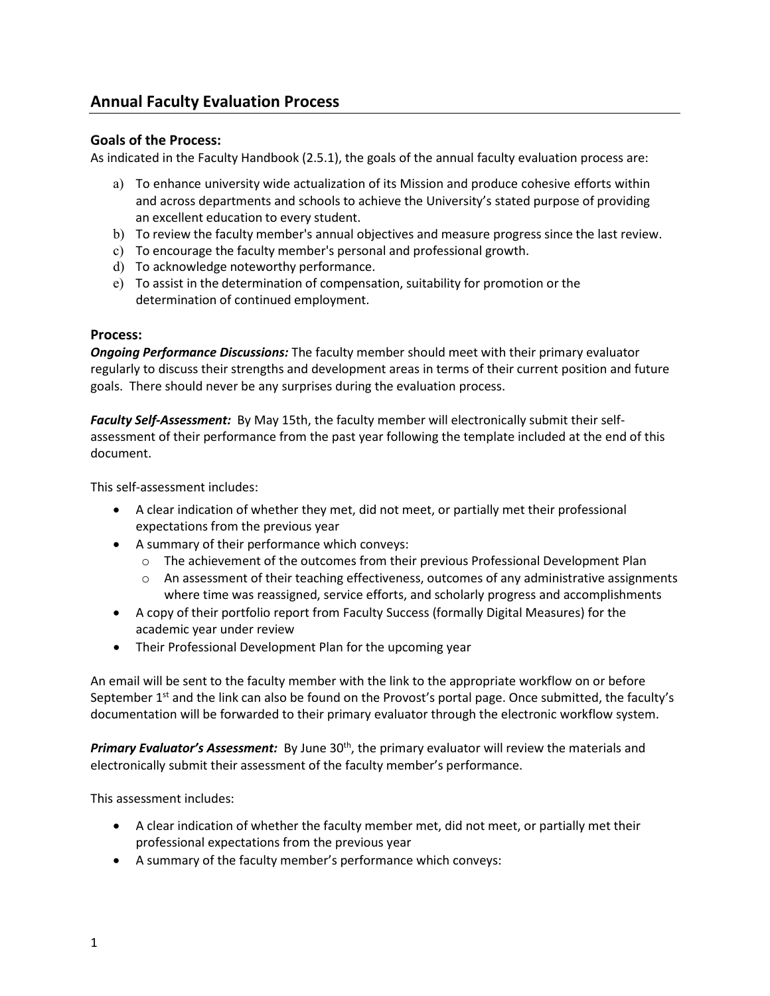# **Goals of the Process:**

As indicated in the Faculty Handbook (2.5.1), the goals of the annual faculty evaluation process are:

- a) To enhance university wide actualization of its Mission and produce cohesive efforts within and across departments and schools to achieve the University's stated purpose of providing an excellent education to every student.
- b) To review the faculty member's annual objectives and measure progress since the last review.
- c) To encourage the faculty member's personal and professional growth.
- d) To acknowledge noteworthy performance.
- e) To assist in the determination of compensation, suitability for promotion or the determination of continued employment.

### **Process:**

*Ongoing Performance Discussions:* The faculty member should meet with their primary evaluator regularly to discuss their strengths and development areas in terms of their current position and future goals. There should never be any surprises during the evaluation process.

*Faculty Self-Assessment:* By May 15th, the faculty member will electronically submit their selfassessment of their performance from the past year following the template included at the end of this document.

This self-assessment includes:

- A clear indication of whether they met, did not meet, or partially met their professional expectations from the previous year
- A summary of their performance which conveys:
	- o The achievement of the outcomes from their previous Professional Development Plan
	- o An assessment of their teaching effectiveness, outcomes of any administrative assignments where time was reassigned, service efforts, and scholarly progress and accomplishments
- A copy of their portfolio report from Faculty Success (formally Digital Measures) for the academic year under review
- Their Professional Development Plan for the upcoming year

An email will be sent to the faculty member with the link to the appropriate workflow on or before September  $1<sup>st</sup>$  and the link can also be found on the Provost's portal page. Once submitted, the faculty's documentation will be forwarded to their primary evaluator through the electronic workflow system.

**Primary Evaluator's Assessment:** By June 30<sup>th</sup>, the primary evaluator will review the materials and electronically submit their assessment of the faculty member's performance.

This assessment includes:

- A clear indication of whether the faculty member met, did not meet, or partially met their professional expectations from the previous year
- A summary of the faculty member's performance which conveys: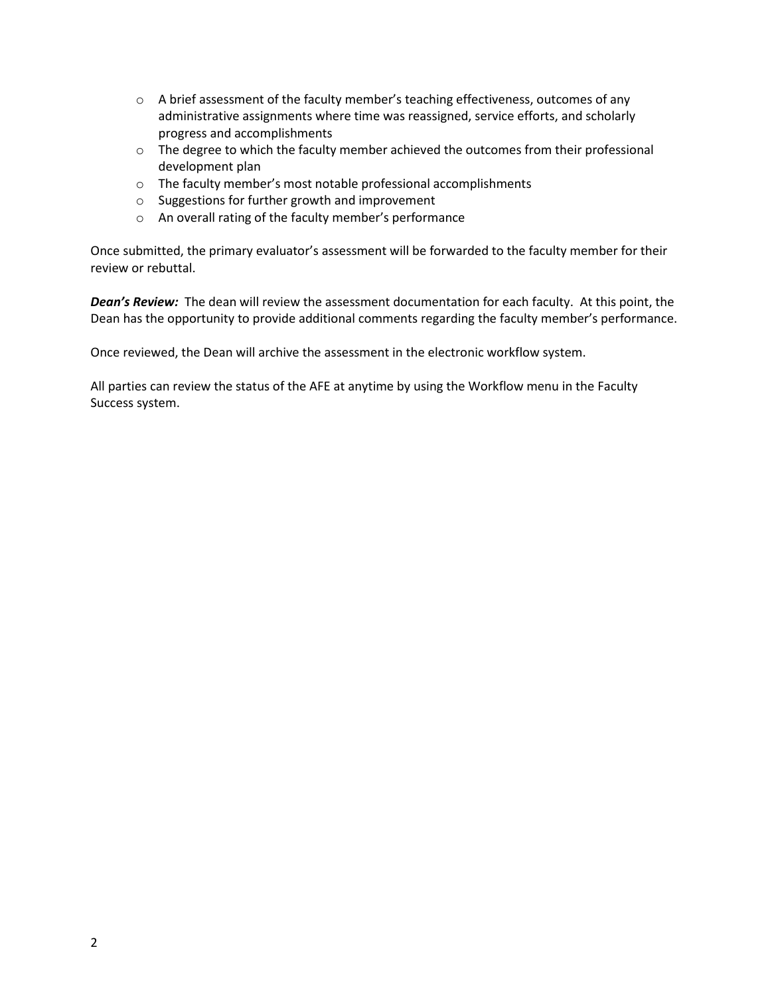- o A brief assessment of the faculty member's teaching effectiveness, outcomes of any administrative assignments where time was reassigned, service efforts, and scholarly progress and accomplishments
- $\circ$  The degree to which the faculty member achieved the outcomes from their professional development plan
- o The faculty member's most notable professional accomplishments
- o Suggestions for further growth and improvement
- o An overall rating of the faculty member's performance

Once submitted, the primary evaluator's assessment will be forwarded to the faculty member for their review or rebuttal.

*Dean's Review:* The dean will review the assessment documentation for each faculty. At this point, the Dean has the opportunity to provide additional comments regarding the faculty member's performance.

Once reviewed, the Dean will archive the assessment in the electronic workflow system.

All parties can review the status of the AFE at anytime by using the Workflow menu in the Faculty Success system.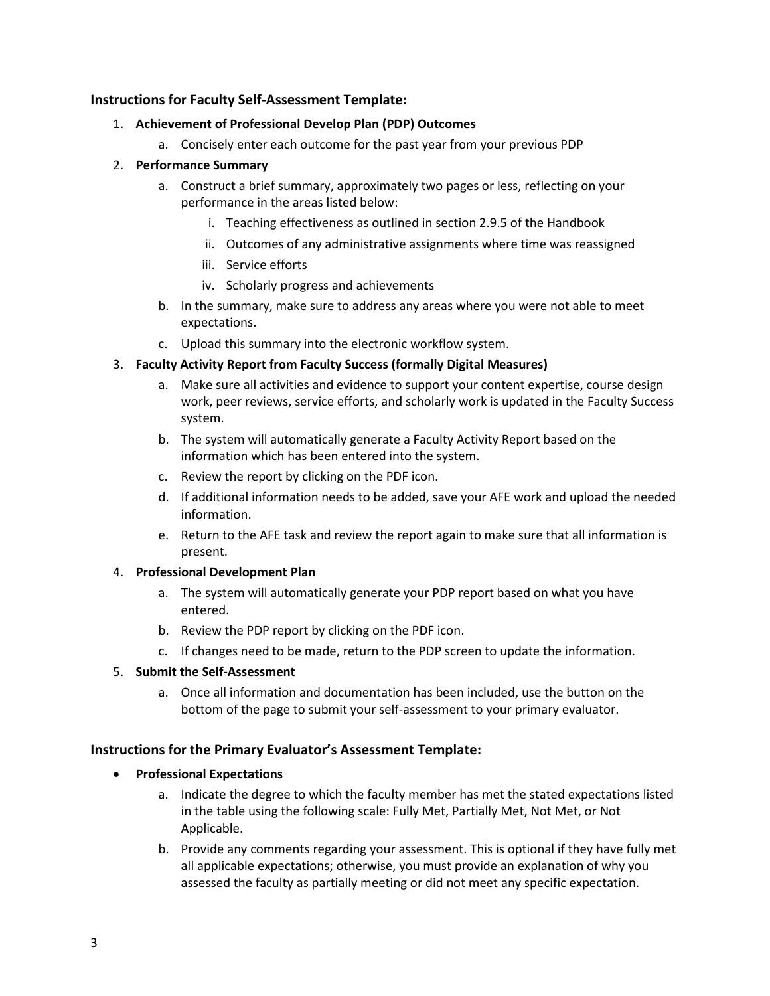### **Instructions for Faculty Self-Assessment Template:**

#### 1. **Achievement of Professional Develop Plan (PDP) Outcomes**

a. Concisely enter each outcome for the past year from your previous PDP

#### 2. **Performance Summary**

- a. Construct a brief summary, approximately two pages or less, reflecting on your performance in the areas listed below:
	- i. Teaching effectiveness as outlined in section 2.9.5 of the Handbook
	- ii. Outcomes of any administrative assignments where time was reassigned
	- iii. Service efforts
	- iv. Scholarly progress and achievements
- b. In the summary, make sure to address any areas where you were not able to meet expectations.
- c. Upload this summary into the electronic workflow system.

### 3. **Faculty Activity Report from Faculty Success (formally Digital Measures)**

- a. Make sure all activities and evidence to support your content expertise, course design work, peer reviews, service efforts, and scholarly work is updated in the Faculty Success system.
- b. The system will automatically generate a Faculty Activity Report based on the information which has been entered into the system.
- c. Review the report by clicking on the PDF icon.
- d. If additional information needs to be added, save your AFE work and upload the needed information.
- e. Return to the AFE task and review the report again to make sure that all information is present.

#### 4. **Professional Development Plan**

- a. The system will automatically generate your PDP report based on what you have entered.
- b. Review the PDP report by clicking on the PDF icon.
- c. If changes need to be made, return to the PDP screen to update the information.

#### 5. **Submit the Self-Assessment**

a. Once all information and documentation has been included, use the button on the bottom of the page to submit your self-assessment to your primary evaluator.

# **Instructions for the Primary Evaluator's Assessment Template:**

#### • **Professional Expectations**

- a. Indicate the degree to which the faculty member has met the stated expectations listed in the table using the following scale: Fully Met, Partially Met, Not Met, or Not Applicable.
- b. Provide any comments regarding your assessment. This is optional if they have fully met all applicable expectations; otherwise, you must provide an explanation of why you assessed the faculty as partially meeting or did not meet any specific expectation.